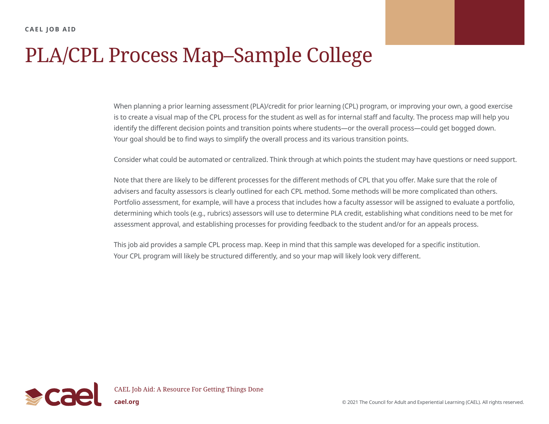## PLA/CPL Process Map–Sample College

When planning a prior learning assessment (PLA)/credit for prior learning (CPL) program, or improving your own, a good exercise is to create a visual map of the CPL process for the student as well as for internal staff and faculty. The process map will help you identify the different decision points and transition points where students—or the overall process—could get bogged down. Your goal should be to find ways to simplify the overall process and its various transition points.

Consider what could be automated or centralized. Think through at which points the student may have questions or need support.

Note that there are likely to be different processes for the different methods of CPL that you offer. Make sure that the role of advisers and faculty assessors is clearly outlined for each CPL method. Some methods will be more complicated than others. Portfolio assessment, for example, will have a process that includes how a faculty assessor will be assigned to evaluate a portfolio, determining which tools (e.g., rubrics) assessors will use to determine PLA credit, establishing what conditions need to be met for assessment approval, and establishing processes for providing feedback to the student and/or for an appeals process.

This job aid provides a sample CPL process map. Keep in mind that this sample was developed for a specific institution. Your CPL program will likely be structured differently, and so your map will likely look very different.

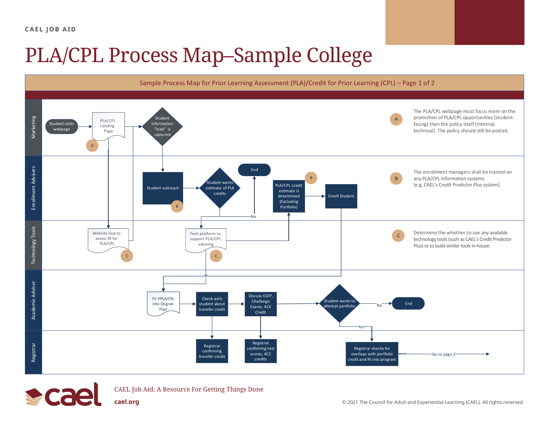**CAEL JOB AID**

## PLA/CPL Process Map–Sample College



![](_page_1_Picture_3.jpeg)

CAEL Job Aid: A Resource For Getting Things Done

**[cael.org](http://www.cael.org) caeler and Experiential Learning (CAEL).** All rights reserved.